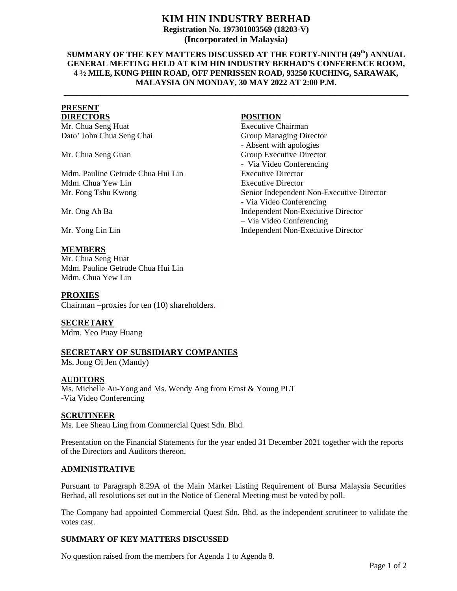# **KIM HIN INDUSTRY BERHAD**

**Registration No. 197301003569 (18203-V) (Incorporated in Malaysia)**

## **SUMMARY OF THE KEY MATTERS DISCUSSED AT THE FORTY-NINTH (49th) ANNUAL GENERAL MEETING HELD AT KIM HIN INDUSTRY BERHAD'S CONFERENCE ROOM, 4 ½ MILE, KUNG PHIN ROAD, OFF PENRISSEN ROAD, 93250 KUCHING, SARAWAK, MALAYSIA ON MONDAY, 30 MAY 2022 AT 2:00 P.M.**

**\_\_\_\_\_\_\_\_\_\_\_\_\_\_\_\_\_\_\_\_\_\_\_\_\_\_\_\_\_\_\_\_\_\_\_\_\_\_\_\_\_\_\_\_\_\_\_\_\_\_\_\_\_\_\_\_\_\_\_\_\_\_\_\_\_\_\_\_\_\_\_\_\_\_\_\_\_\_\_\_\_\_\_\_**

# **PRESENT**

Mr. Chua Seng Huat **Executive Chairman** Dato' John Chua Seng Chai Group Managing Director

Mr. Chua Seng Guan

Mdm. Pauline Getrude Chua Hui Lin Mdm. Chua Yew Lin Executive Director

## **MEMBERS**

Mr. Chua Seng Huat Mdm. Pauline Getrude Chua Hui Lin Mdm. Chua Yew Lin

#### **PROXIES**

Chairman –proxies for ten (10) shareholders.

**SECRETARY**

Mdm. Yeo Puay Huang

#### **SECRETARY OF SUBSIDIARY COMPANIES**

Ms. Jong Oi Jen (Mandy)

#### **AUDITORS**

Ms. Michelle Au-Yong and Ms. Wendy Ang from Ernst & Young PLT -Via Video Conferencing

#### **SCRUTINEER**

Ms. Lee Sheau Ling from Commercial Quest Sdn. Bhd.

Presentation on the Financial Statements for the year ended 31 December 2021 together with the reports of the Directors and Auditors thereon.

#### **ADMINISTRATIVE**

Pursuant to Paragraph 8.29A of the Main Market Listing Requirement of Bursa Malaysia Securities Berhad, all resolutions set out in the Notice of General Meeting must be voted by poll.

The Company had appointed Commercial Quest Sdn. Bhd. as the independent scrutineer to validate the votes cast.

#### **SUMMARY OF KEY MATTERS DISCUSSED**

No question raised from the members for Agenda 1 to Agenda 8.

# **DIRECTORS POSITION**

- Absent with apologies Group Executive Director - Via Video Conferencing Executive Director Mr. Fong Tshu Kwong Senior Independent Non-Executive Director - Via Video Conferencing Mr. Ong Ah Ba Independent Non-Executive Director – Via Video Conferencing Mr. Yong Lin Lin Independent Non-Executive Director